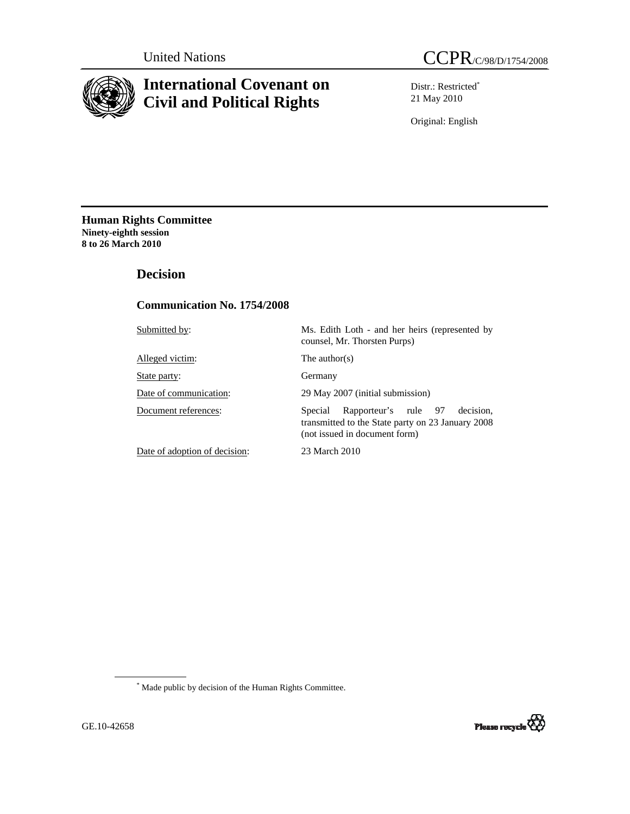

# **International Covenant on Civil and Political Rights**

Distr.: Restricted\* 21 May 2010

Original: English

**Human Rights Committee Ninety-eighth session 8 to 26 March 2010** 

 **Decision** 

# **Communication No. 1754/2008**

| Submitted by:                 | Ms. Edith Loth - and her heirs (represented by<br>counsel, Mr. Thorsten Purps)                                                     |
|-------------------------------|------------------------------------------------------------------------------------------------------------------------------------|
| Alleged victim:               | The author(s)                                                                                                                      |
| State party:                  | Germany                                                                                                                            |
| Date of communication:        | 29 May 2007 (initial submission)                                                                                                   |
| Document references:          | decision.<br>Rapporteur's rule 97<br>Special<br>transmitted to the State party on 23 January 2008<br>(not issued in document form) |
| Date of adoption of decision: | 23 March 2010                                                                                                                      |

 \* Made public by decision of the Human Rights Committee.

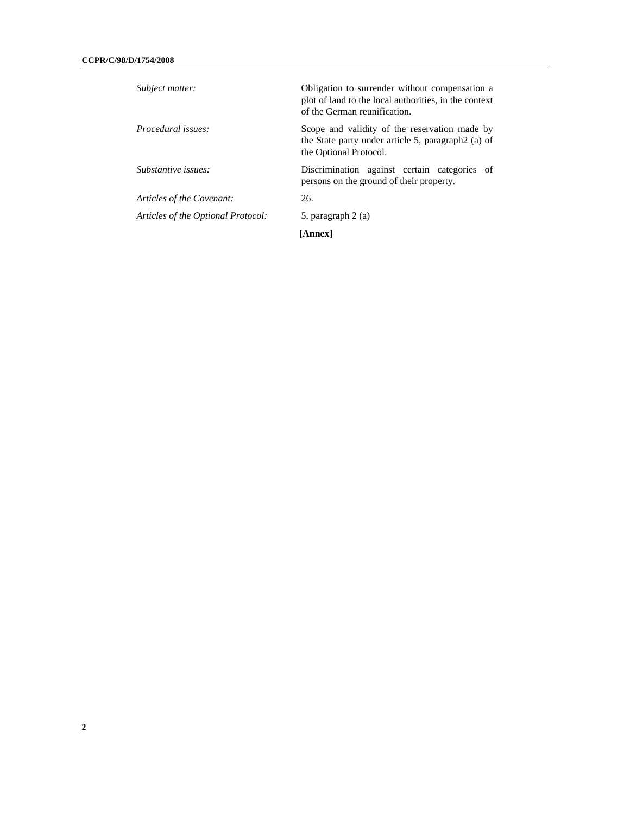| Subject matter:                    | Obligation to surrender without compensation a<br>plot of land to the local authorities, in the context<br>of the German reunification. |
|------------------------------------|-----------------------------------------------------------------------------------------------------------------------------------------|
| Procedural issues:                 | Scope and validity of the reservation made by<br>the State party under article 5, paragraph 2(a) of<br>the Optional Protocol.           |
| Substantive issues:                | Discrimination against certain categories of<br>persons on the ground of their property.                                                |
| Articles of the Covenant:          | 26.                                                                                                                                     |
| Articles of the Optional Protocol: | 5, paragraph 2 (a)                                                                                                                      |
|                                    | <b>[Annex]</b>                                                                                                                          |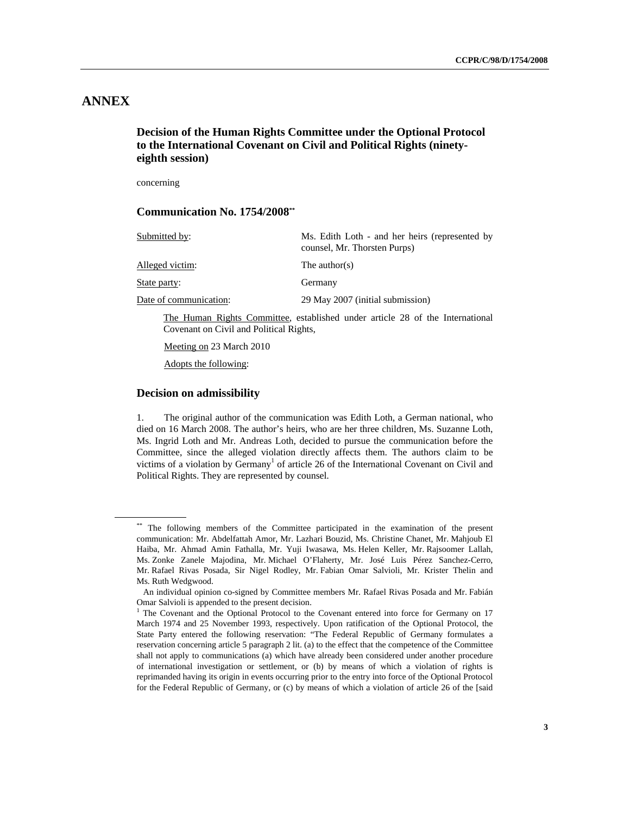# **ANNEX**

 **Decision of the Human Rights Committee under the Optional Protocol to the International Covenant on Civil and Political Rights (ninetyeighth session)** 

concerning

## **Communication No. 1754/2008\*\***

| Submitted by:                                                                                                            | Ms. Edith Loth - and her heirs (represented by<br>counsel, Mr. Thorsten Purps) |
|--------------------------------------------------------------------------------------------------------------------------|--------------------------------------------------------------------------------|
| Alleged victim:                                                                                                          | The author(s)                                                                  |
| State party:                                                                                                             | Germany                                                                        |
| Date of communication:                                                                                                   | 29 May 2007 (initial submission)                                               |
| The Human Rights Committee, established under article 28 of the International<br>Covenant on Civil and Political Rights, |                                                                                |
| Meeting on 23 March 2010                                                                                                 |                                                                                |

Adopts the following:

### **Decision on admissibility**

1. The original author of the communication was Edith Loth, a German national, who died on 16 March 2008. The author's heirs, who are her three children, Ms. Suzanne Loth, Ms. Ingrid Loth and Mr. Andreas Loth, decided to pursue the communication before the Committee, since the alleged violation directly affects them. The authors claim to be victims of a violation by Germany<sup>1</sup> of article 26 of the International Covenant on Civil and Political Rights. They are represented by counsel.

<sup>\*\*</sup> The following members of the Committee participated in the examination of the present communication: Mr. Abdelfattah Amor, Mr. Lazhari Bouzid, Ms. Christine Chanet, Mr. Mahjoub El Haiba, Mr. Ahmad Amin Fathalla, Mr. Yuji Iwasawa, Ms. Helen Keller, Mr. Rajsoomer Lallah, Ms. Zonke Zanele Majodina, Mr. Michael O'Flaherty, Mr. José Luis Pérez Sanchez-Cerro, Mr. Rafael Rivas Posada, Sir Nigel Rodley, Mr. Fabian Omar Salvioli, Mr. Krister Thelin and Ms. Ruth Wedgwood.

An individual opinion co-signed by Committee members Mr. Rafael Rivas Posada and Mr. Fabián Omar Salvioli is appended to the present decision.

<sup>&</sup>lt;sup>1</sup> The Covenant and the Optional Protocol to the Covenant entered into force for Germany on 17 March 1974 and 25 November 1993, respectively. Upon ratification of the Optional Protocol, the State Party entered the following reservation: "The Federal Republic of Germany formulates a reservation concerning article 5 paragraph 2 lit. (a) to the effect that the competence of the Committee shall not apply to communications (a) which have already been considered under another procedure of international investigation or settlement, or (b) by means of which a violation of rights is reprimanded having its origin in events occurring prior to the entry into force of the Optional Protocol for the Federal Republic of Germany, or (c) by means of which a violation of article 26 of the [said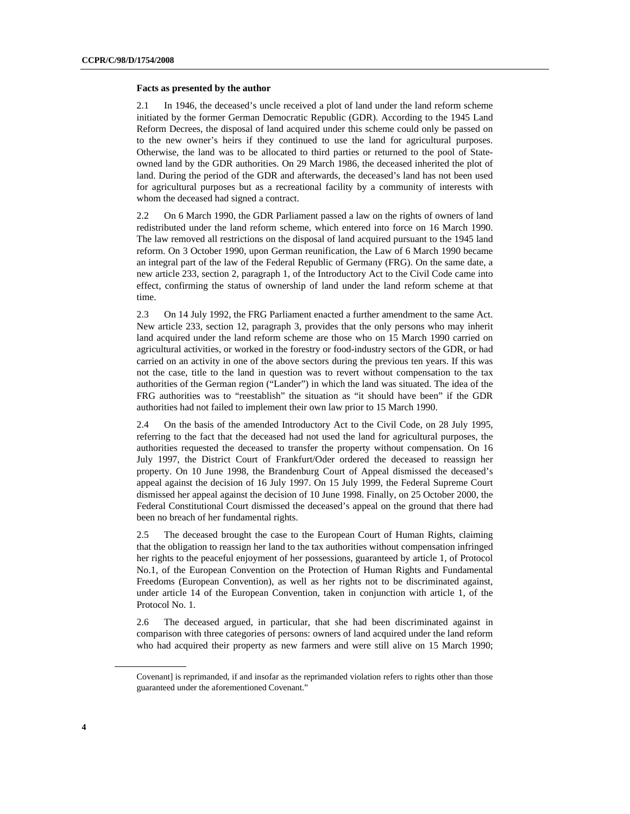#### **Facts as presented by the author**

2.1 In 1946, the deceased's uncle received a plot of land under the land reform scheme initiated by the former German Democratic Republic (GDR). According to the 1945 Land Reform Decrees, the disposal of land acquired under this scheme could only be passed on to the new owner's heirs if they continued to use the land for agricultural purposes. Otherwise, the land was to be allocated to third parties or returned to the pool of Stateowned land by the GDR authorities. On 29 March 1986, the deceased inherited the plot of land. During the period of the GDR and afterwards, the deceased's land has not been used for agricultural purposes but as a recreational facility by a community of interests with whom the deceased had signed a contract.

2.2 On 6 March 1990, the GDR Parliament passed a law on the rights of owners of land redistributed under the land reform scheme, which entered into force on 16 March 1990. The law removed all restrictions on the disposal of land acquired pursuant to the 1945 land reform. On 3 October 1990, upon German reunification, the Law of 6 March 1990 became an integral part of the law of the Federal Republic of Germany (FRG). On the same date, a new article 233, section 2, paragraph 1, of the Introductory Act to the Civil Code came into effect, confirming the status of ownership of land under the land reform scheme at that time.

2.3 On 14 July 1992, the FRG Parliament enacted a further amendment to the same Act. New article 233, section 12, paragraph 3, provides that the only persons who may inherit land acquired under the land reform scheme are those who on 15 March 1990 carried on agricultural activities, or worked in the forestry or food-industry sectors of the GDR, or had carried on an activity in one of the above sectors during the previous ten years. If this was not the case, title to the land in question was to revert without compensation to the tax authorities of the German region ("Lander") in which the land was situated. The idea of the FRG authorities was to "reestablish" the situation as "it should have been" if the GDR authorities had not failed to implement their own law prior to 15 March 1990.

2.4 On the basis of the amended Introductory Act to the Civil Code, on 28 July 1995, referring to the fact that the deceased had not used the land for agricultural purposes, the authorities requested the deceased to transfer the property without compensation. On 16 July 1997, the District Court of Frankfurt/Oder ordered the deceased to reassign her property. On 10 June 1998, the Brandenburg Court of Appeal dismissed the deceased's appeal against the decision of 16 July 1997. On 15 July 1999, the Federal Supreme Court dismissed her appeal against the decision of 10 June 1998. Finally, on 25 October 2000, the Federal Constitutional Court dismissed the deceased's appeal on the ground that there had been no breach of her fundamental rights.

2.5 The deceased brought the case to the European Court of Human Rights, claiming that the obligation to reassign her land to the tax authorities without compensation infringed her rights to the peaceful enjoyment of her possessions, guaranteed by article 1, of Protocol No.1, of the European Convention on the Protection of Human Rights and Fundamental Freedoms (European Convention), as well as her rights not to be discriminated against, under article 14 of the European Convention, taken in conjunction with article 1, of the Protocol No. 1.

2.6 The deceased argued, in particular, that she had been discriminated against in comparison with three categories of persons: owners of land acquired under the land reform who had acquired their property as new farmers and were still alive on 15 March 1990;

Covenant] is reprimanded, if and insofar as the reprimanded violation refers to rights other than those guaranteed under the aforementioned Covenant."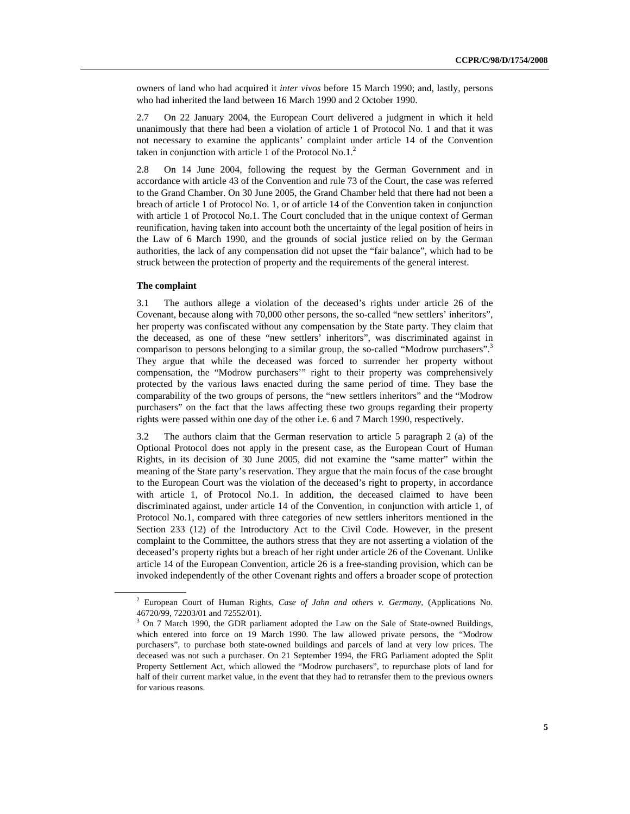owners of land who had acquired it *inter vivos* before 15 March 1990; and, lastly, persons who had inherited the land between 16 March 1990 and 2 October 1990.

2.7 On 22 January 2004, the European Court delivered a judgment in which it held unanimously that there had been a violation of article 1 of Protocol No. 1 and that it was not necessary to examine the applicants' complaint under article 14 of the Convention taken in conjunction with article  $1$  of the Protocol No.1.<sup>2</sup>

2.8 On 14 June 2004, following the request by the German Government and in accordance with article 43 of the Convention and rule 73 of the Court, the case was referred to the Grand Chamber. On 30 June 2005, the Grand Chamber held that there had not been a breach of article 1 of Protocol No. 1, or of article 14 of the Convention taken in conjunction with article 1 of Protocol No.1. The Court concluded that in the unique context of German reunification, having taken into account both the uncertainty of the legal position of heirs in the Law of 6 March 1990, and the grounds of social justice relied on by the German authorities, the lack of any compensation did not upset the "fair balance", which had to be struck between the protection of property and the requirements of the general interest.

## **The complaint**

3.1 The authors allege a violation of the deceased's rights under article 26 of the Covenant, because along with 70,000 other persons, the so-called "new settlers' inheritors", her property was confiscated without any compensation by the State party. They claim that the deceased, as one of these "new settlers' inheritors", was discriminated against in comparison to persons belonging to a similar group, the so-called "Modrow purchasers".<sup>3</sup> They argue that while the deceased was forced to surrender her property without compensation, the "Modrow purchasers'" right to their property was comprehensively protected by the various laws enacted during the same period of time. They base the comparability of the two groups of persons, the "new settlers inheritors" and the "Modrow purchasers" on the fact that the laws affecting these two groups regarding their property rights were passed within one day of the other i.e. 6 and 7 March 1990, respectively.

3.2 The authors claim that the German reservation to article 5 paragraph 2 (a) of the Optional Protocol does not apply in the present case, as the European Court of Human Rights, in its decision of 30 June 2005, did not examine the "same matter" within the meaning of the State party's reservation. They argue that the main focus of the case brought to the European Court was the violation of the deceased's right to property, in accordance with article 1, of Protocol No.1. In addition, the deceased claimed to have been discriminated against, under article 14 of the Convention, in conjunction with article 1, of Protocol No.1, compared with three categories of new settlers inheritors mentioned in the Section 233 (12) of the Introductory Act to the Civil Code. However, in the present complaint to the Committee, the authors stress that they are not asserting a violation of the deceased's property rights but a breach of her right under article 26 of the Covenant. Unlike article 14 of the European Convention, article 26 is a free-standing provision, which can be invoked independently of the other Covenant rights and offers a broader scope of protection

<sup>2</sup> European Court of Human Rights, *Case of Jahn and others v. Germany*, (Applications No. 46720/99, 72203/01 and 72552/01).

<sup>&</sup>lt;sup>3</sup> On 7 March 1990, the GDR parliament adopted the Law on the Sale of State-owned Buildings, which entered into force on 19 March 1990. The law allowed private persons, the "Modrow purchasers", to purchase both state-owned buildings and parcels of land at very low prices. The deceased was not such a purchaser. On 21 September 1994, the FRG Parliament adopted the Split Property Settlement Act, which allowed the "Modrow purchasers", to repurchase plots of land for half of their current market value, in the event that they had to retransfer them to the previous owners for various reasons.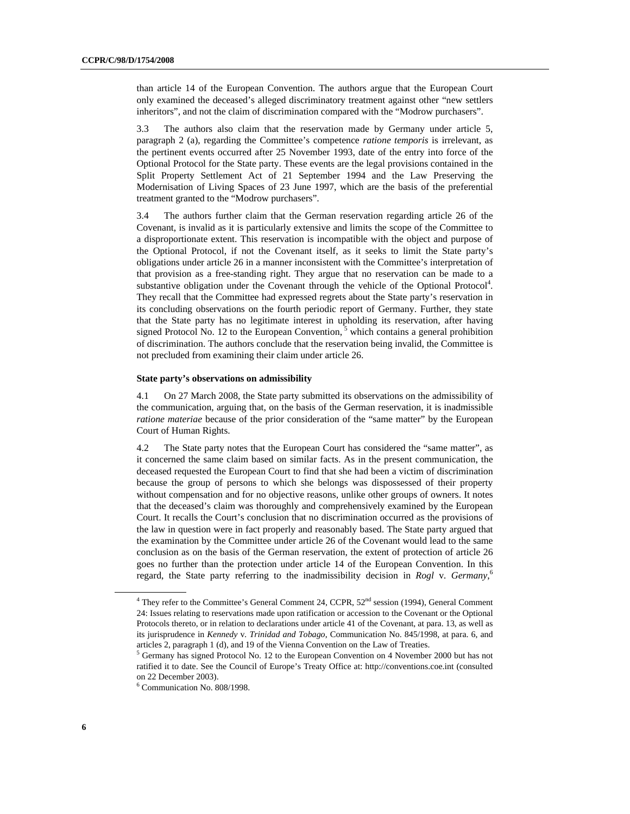than article 14 of the European Convention. The authors argue that the European Court only examined the deceased's alleged discriminatory treatment against other "new settlers inheritors", and not the claim of discrimination compared with the "Modrow purchasers".

3.3 The authors also claim that the reservation made by Germany under article 5, paragraph 2 (a), regarding the Committee's competence *ratione temporis* is irrelevant, as the pertinent events occurred after 25 November 1993, date of the entry into force of the Optional Protocol for the State party. These events are the legal provisions contained in the Split Property Settlement Act of 21 September 1994 and the Law Preserving the Modernisation of Living Spaces of 23 June 1997, which are the basis of the preferential treatment granted to the "Modrow purchasers".

3.4 The authors further claim that the German reservation regarding article 26 of the Covenant, is invalid as it is particularly extensive and limits the scope of the Committee to a disproportionate extent. This reservation is incompatible with the object and purpose of the Optional Protocol, if not the Covenant itself, as it seeks to limit the State party's obligations under article 26 in a manner inconsistent with the Committee's interpretation of that provision as a free-standing right. They argue that no reservation can be made to a substantive obligation under the Covenant through the vehicle of the Optional Protocol<sup>4</sup>. They recall that the Committee had expressed regrets about the State party's reservation in its concluding observations on the fourth periodic report of Germany. Further, they state that the State party has no legitimate interest in upholding its reservation, after having signed Protocol No. 12 to the European Convention,  $<sup>5</sup>$  which contains a general prohibition</sup> of discrimination. The authors conclude that the reservation being invalid, the Committee is not precluded from examining their claim under article 26.

### **State party's observations on admissibility**

4.1 On 27 March 2008, the State party submitted its observations on the admissibility of the communication, arguing that, on the basis of the German reservation, it is inadmissible *ratione materiae* because of the prior consideration of the "same matter" by the European Court of Human Rights.

4.2 The State party notes that the European Court has considered the "same matter", as it concerned the same claim based on similar facts. As in the present communication, the deceased requested the European Court to find that she had been a victim of discrimination because the group of persons to which she belongs was dispossessed of their property without compensation and for no objective reasons, unlike other groups of owners. It notes that the deceased's claim was thoroughly and comprehensively examined by the European Court. It recalls the Court's conclusion that no discrimination occurred as the provisions of the law in question were in fact properly and reasonably based. The State party argued that the examination by the Committee under article 26 of the Covenant would lead to the same conclusion as on the basis of the German reservation, the extent of protection of article 26 goes no further than the protection under article 14 of the European Convention. In this regard, the State party referring to the inadmissibility decision in *Rogl* v*. Germany*, 6

<sup>&</sup>lt;sup>4</sup> They refer to the Committee's General Comment 24, CCPR, 52<sup>nd</sup> session (1994), General Comment 24: Issues relating to reservations made upon ratification or accession to the Covenant or the Optional Protocols thereto, or in relation to declarations under article 41 of the Covenant, at para. 13, as well as its jurisprudence in *Kennedy* v*. Trinidad and Tobago*, Communication No. 845/1998, at para. 6, and articles 2, paragraph 1 (d), and 19 of the Vienna Convention on the Law of Treaties.

<sup>&</sup>lt;sup>5</sup> Germany has signed Protocol No. 12 to the European Convention on 4 November 2000 but has not ratified it to date. See the Council of Europe's Treaty Office at: http://conventions.coe.int (consulted on 22 December 2003).

<sup>6</sup> Communication No. 808/1998.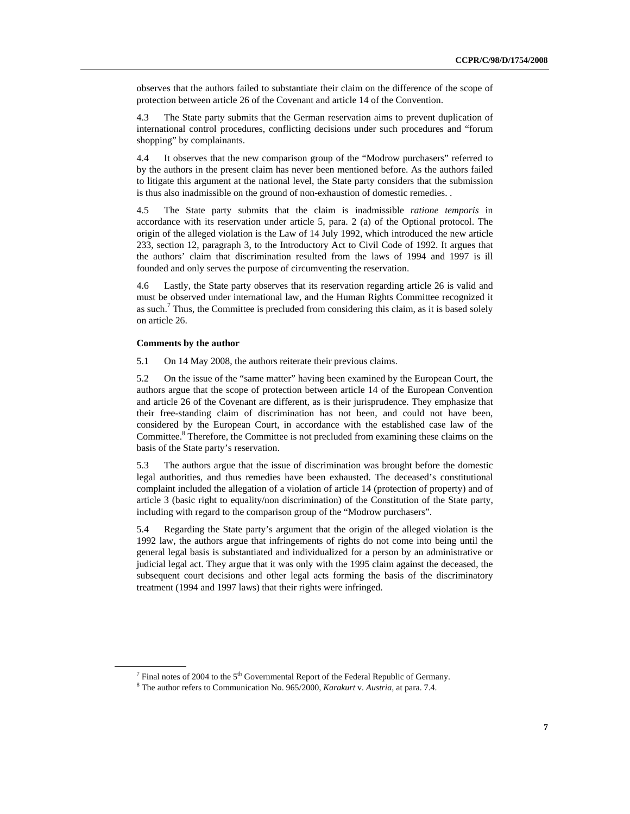observes that the authors failed to substantiate their claim on the difference of the scope of protection between article 26 of the Covenant and article 14 of the Convention.

4.3 The State party submits that the German reservation aims to prevent duplication of international control procedures, conflicting decisions under such procedures and "forum shopping" by complainants.

4.4 It observes that the new comparison group of the "Modrow purchasers" referred to by the authors in the present claim has never been mentioned before. As the authors failed to litigate this argument at the national level, the State party considers that the submission is thus also inadmissible on the ground of non-exhaustion of domestic remedies. .

4.5 The State party submits that the claim is inadmissible *ratione temporis* in accordance with its reservation under article 5, para. 2 (a) of the Optional protocol. The origin of the alleged violation is the Law of 14 July 1992, which introduced the new article 233, section 12, paragraph 3, to the Introductory Act to Civil Code of 1992. It argues that the authors' claim that discrimination resulted from the laws of 1994 and 1997 is ill founded and only serves the purpose of circumventing the reservation.

4.6 Lastly, the State party observes that its reservation regarding article 26 is valid and must be observed under international law, and the Human Rights Committee recognized it as such.<sup>7</sup> Thus, the Committee is precluded from considering this claim, as it is based solely on article 26.

#### **Comments by the author**

5.1 On 14 May 2008, the authors reiterate their previous claims.

5.2 On the issue of the "same matter" having been examined by the European Court, the authors argue that the scope of protection between article 14 of the European Convention and article 26 of the Covenant are different, as is their jurisprudence. They emphasize that their free-standing claim of discrimination has not been, and could not have been, considered by the European Court, in accordance with the established case law of the Committee.<sup>8</sup> Therefore, the Committee is not precluded from examining these claims on the basis of the State party's reservation.

5.3 The authors argue that the issue of discrimination was brought before the domestic legal authorities, and thus remedies have been exhausted. The deceased's constitutional complaint included the allegation of a violation of article 14 (protection of property) and of article 3 (basic right to equality/non discrimination) of the Constitution of the State party, including with regard to the comparison group of the "Modrow purchasers".

5.4 Regarding the State party's argument that the origin of the alleged violation is the 1992 law, the authors argue that infringements of rights do not come into being until the general legal basis is substantiated and individualized for a person by an administrative or judicial legal act. They argue that it was only with the 1995 claim against the deceased, the subsequent court decisions and other legal acts forming the basis of the discriminatory treatment (1994 and 1997 laws) that their rights were infringed.

<sup>&</sup>lt;sup>7</sup> Final notes of 2004 to the 5<sup>th</sup> Governmental Report of the Federal Republic of Germany.

The author refers to Communication No. 965/2000, *Karakurt* v*. Austria*, at para. 7.4.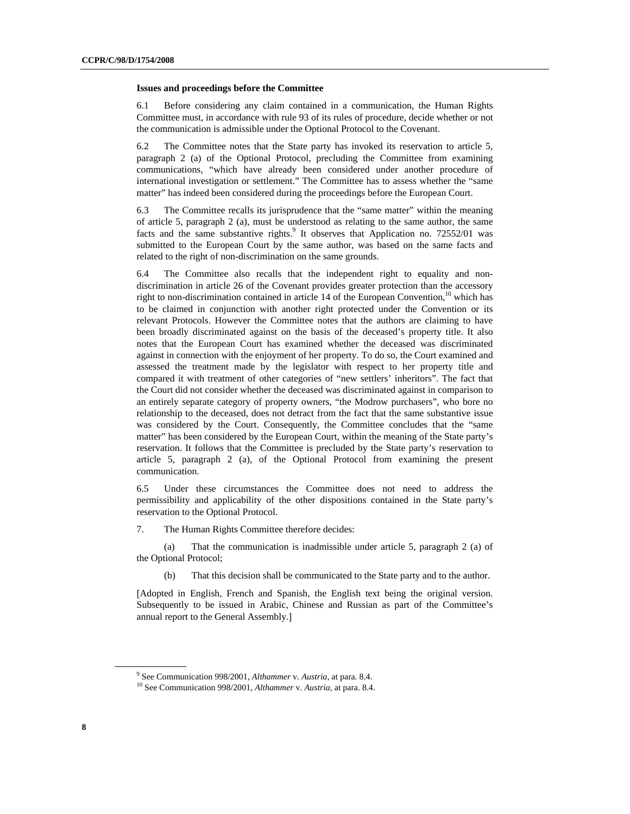#### **Issues and proceedings before the Committee**

6.1 Before considering any claim contained in a communication, the Human Rights Committee must, in accordance with rule 93 of its rules of procedure, decide whether or not the communication is admissible under the Optional Protocol to the Covenant.

6.2 The Committee notes that the State party has invoked its reservation to article 5, paragraph 2 (a) of the Optional Protocol, precluding the Committee from examining communications, "which have already been considered under another procedure of international investigation or settlement." The Committee has to assess whether the "same matter" has indeed been considered during the proceedings before the European Court.

6.3 The Committee recalls its jurisprudence that the "same matter" within the meaning of article 5, paragraph 2 (a), must be understood as relating to the same author, the same facts and the same substantive rights.<sup>9</sup> It observes that Application no. 72552/01 was submitted to the European Court by the same author, was based on the same facts and related to the right of non-discrimination on the same grounds.

6.4 The Committee also recalls that the independent right to equality and nondiscrimination in article 26 of the Covenant provides greater protection than the accessory right to non-discrimination contained in article 14 of the European Convention,  $10$  which has to be claimed in conjunction with another right protected under the Convention or its relevant Protocols. However the Committee notes that the authors are claiming to have been broadly discriminated against on the basis of the deceased's property title. It also notes that the European Court has examined whether the deceased was discriminated against in connection with the enjoyment of her property. To do so, the Court examined and assessed the treatment made by the legislator with respect to her property title and compared it with treatment of other categories of "new settlers' inheritors". The fact that the Court did not consider whether the deceased was discriminated against in comparison to an entirely separate category of property owners, "the Modrow purchasers", who bore no relationship to the deceased, does not detract from the fact that the same substantive issue was considered by the Court. Consequently, the Committee concludes that the "same matter" has been considered by the European Court, within the meaning of the State party's reservation. It follows that the Committee is precluded by the State party's reservation to article 5, paragraph 2 (a), of the Optional Protocol from examining the present communication.

6.5 Under these circumstances the Committee does not need to address the permissibility and applicability of the other dispositions contained in the State party's reservation to the Optional Protocol.

7. The Human Rights Committee therefore decides:

(a) That the communication is inadmissible under article 5, paragraph 2 (a) of the Optional Protocol;

(b) That this decision shall be communicated to the State party and to the author.

[Adopted in English, French and Spanish, the English text being the original version. Subsequently to be issued in Arabic, Chinese and Russian as part of the Committee's annual report to the General Assembly.]

<sup>&</sup>lt;sup>9</sup> See Communication 998/2001, Althammer v. Austria, at para. 8.4.

<sup>&</sup>lt;sup>10</sup> See Communication 998/2001, *Althammer v. Austria*, at para. 8.4.